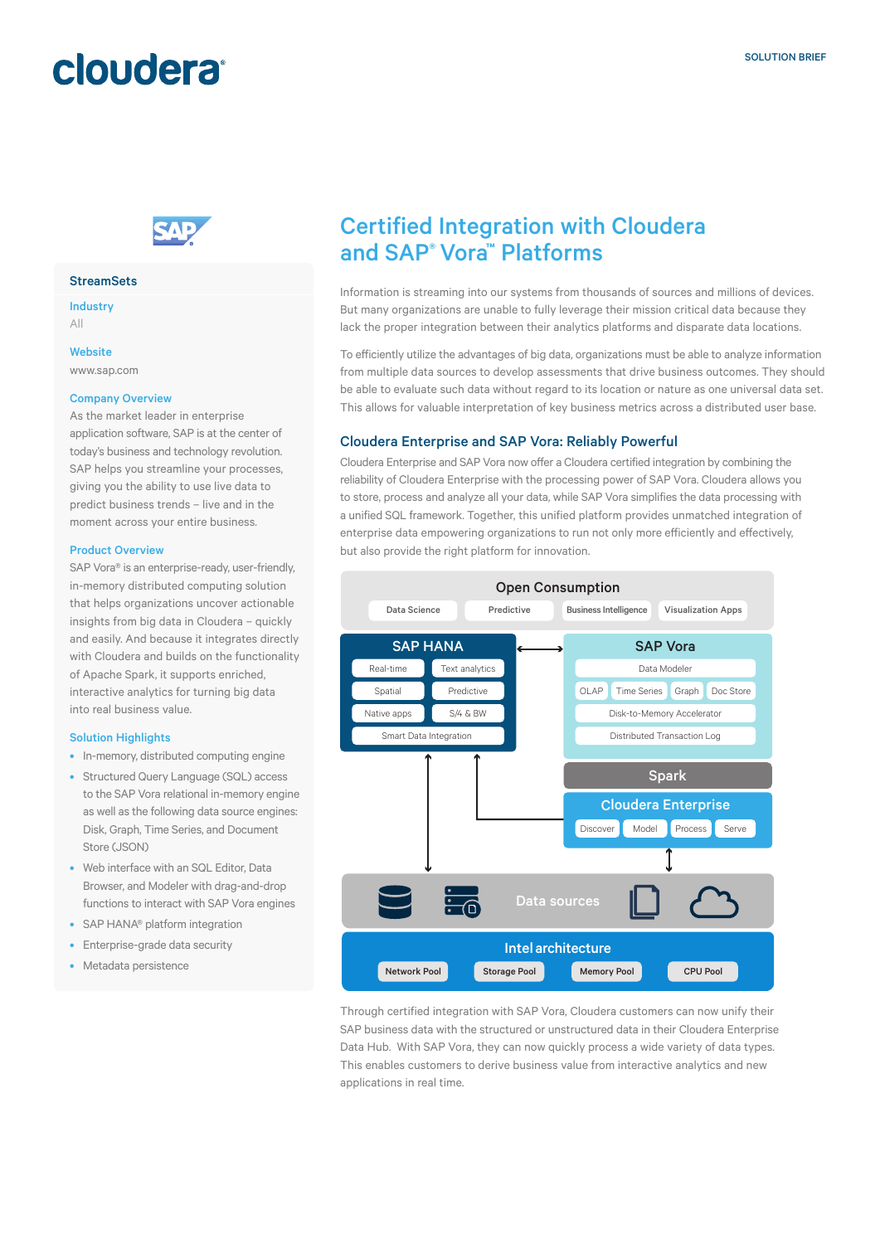## cloudera®



#### **StreamSets**

Industry All

**Website** 

www.sap.com

#### Company Overview

As the market leader in enterprise application software, SAP is at the center of today's business and technology revolution. SAP helps you streamline your processes, giving you the ability to use live data to predict business trends – live and in the moment across your entire business.

#### Product Overview

SAP Vora® is an enterprise-ready, user-friendly, in-memory distributed computing solution that helps organizations uncover actionable insights from big data in Cloudera – quickly and easily. And because it integrates directly with Cloudera and builds on the functionality of Apache Spark, it supports enriched, interactive analytics for turning big data into real business value.

#### Solution Highlights

- In-memory, distributed computing engine
- Structured Query Language (SQL) access to the SAP Vora relational in-memory engine as well as the following data source engines: Disk, Graph, Time Series, and Document Store (JSON)
- Web interface with an SQL Editor, Data Browser, and Modeler with drag-and-drop functions to interact with SAP Vora engines
- SAP HANA® platform integration
- Enterprise-grade data security
- Metadata persistence

### Certified Integration with Cloudera and SAP® Vora™ Platforms

Information is streaming into our systems from thousands of sources and millions of devices. But many organizations are unable to fully leverage their mission critical data because they lack the proper integration between their analytics platforms and disparate data locations.

To efficiently utilize the advantages of big data, organizations must be able to analyze information from multiple data sources to develop assessments that drive business outcomes. They should be able to evaluate such data without regard to its location or nature as one universal data set. This allows for valuable interpretation of key business metrics across a distributed user base.

#### Cloudera Enterprise and SAP Vora: Reliably Powerful

Cloudera Enterprise and SAP Vora now offer a Cloudera certified integration by combining the reliability of Cloudera Enterprise with the processing power of SAP Vora. Cloudera allows you to store, process and analyze all your data, while SAP Vora simplifies the data processing with a unified SQL framework. Together, this unified platform provides unmatched integration of enterprise data empowering organizations to run not only more efficiently and effectively, but also provide the right platform for innovation.



Through certified integration with SAP Vora, Cloudera customers can now unify their SAP business data with the structured or unstructured data in their Cloudera Enterprise Data Hub. With SAP Vora, they can now quickly process a wide variety of data types. This enables customers to derive business value from interactive analytics and new applications in real time.